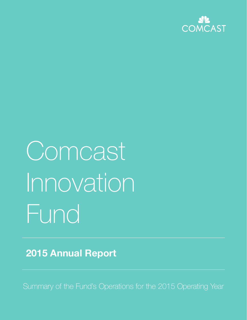

# Comcast Innovation Fund

**2015 Annual Report**

Summary of the Fund's Operations for the 2015 Operating Year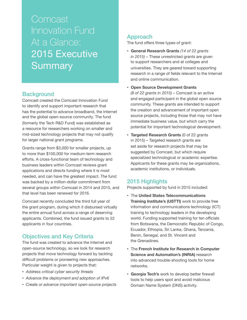**Comcast** Innovation Fund At a Glance: 2015 Executive **Summary** 

# **Background**

Comcast created the Comcast Innovation Fund to identify and support important research that has the potential to advance broadband, the Internet and the global open-source community. The fund (formerly the Tech R&D Fund) was established as a resource for researchers working on smaller and mid-sized technology projects that may not qualify for larger national grant programs.

Grants range from \$3,000 for smaller projects, up to more than \$100,000 for medium-term research efforts. A cross-functional team of technology and business leaders within Comcast reviews grant applications and directs funding where it is most needed, and can have the greatest impact. The fund was backed by a million-dollar commitment from several groups within Comcast in 2014 and 2015, and that level has been renewed for 2016.

Comcast recently concluded the third full year of the grant program, during which it disbursed virtually the entire annual fund across a range of deserving applicants. Combined, the fund issued grants to 22 applicants in four countries.

# Objectives and Key Criteria

The fund was created to advance the Internet and open-source technology, so we look for research projects that move technology forward by tackling difficult problems or pioneering new approaches. Particular weight is given to projects that:

- *Address critical cyber security threats*
- *Advance the deployment and adoption of IPv6*
- 

# Approach

The fund offers three types of grant:

- **General Research Grants** *(14 of 22 grants in 2015)* – These unrestricted grants are given to support researchers and at colleges and universities. They are geared toward supporting research in a range of fields relevant to the Internet and online communication.
- **Open Source Development Grants**

*(8 of 22 grants in 2015)* – Comcast is an active and engaged participant in the global open source community. These grants are intended to support the creation and advancement of important open source projects, including those that may not have immediate business value, but which carry the potential for important technological development.

• **Targeted Research Grants** (0 of 22 grants in 2015) – Targeted research grants are set aside for research projects that may be suggested by Comcast, but which require specialized technological or academic expertise. Applicants for these grants may be organizations, academic institutions, or individuals.

# 2015 Highlights

Projects supported by fund in 2015 included:

- The **United States Telecommunications Training Institute's (USTTI)** work to provide free information and communications technology (ICT) training to technology leaders in the developing world. Funding supported training for ten officials from Botswana, the Democratic Republic of Congo, Ecuador, Ethiopia, Sri Lanka, Ghana, Tanzania, Benin, Senegal, and St. Vincent and the Grenadines.
- The **French Institute for Research in Computer Science and Automation's (INRIA)** research into advanced trouble-shooting tools for home networks.
- *Create or advance important open-source projects* **bully Domain Name System (DNS) activity.** • **Georgia Tech's** work to develop better firewall tools to help users spot and avoid malicious Domain Name System (DNS) activity.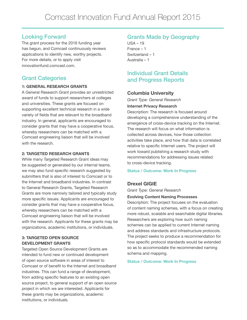# Looking Forward

The grant process for the 2016 funding year has begun, and Comcast continuously reviews applications to identify new, worthy projects. For more details, or to apply visit innovationfund.comcast.com.

# Grant Categories

#### **1: GENERAL RESEARCH GRANTS**

A General Research Grant provides an unrestricted award of funds to support researchers at colleges and universities. These grants are focused on supporting excellent technical research in a wide variety of fields that are relevant to the broadband industry. In general, applicants are encouraged to consider grants that may have a cooperative focus, whereby researchers can be matched with a Comcast engineering liaison that will be involved with the research

#### **2: TARGETED RESEARCH GRANTS**

While many Targeted Research Grant ideas may be suggested or generated by our internal teams, we may also fund specific research suggested by submitters that is also of interest to Comcast or to the Internet and broadband industries. In contrast to General Research Grants, Targeted Research Grants are more narrowly tailored and typically study more specific issues. Applicants are encouraged to consider grants that may have a cooperative focus, whereby researchers can be matched with a Comcast engineering liaison that will be involved with the research. Applicants for these grants may be organizations, academic institutions, or individuals.

#### **3: TARGETED OPEN SOURCE DEVELOPMENT GRANTS**

Targeted Open Source Development Grants are intended to fund new or continued development of open source software in areas of interest to Comcast or of benefit to the Internet and broadband industries. This can fund a range of development, from adding specific features to an existing open source project, to general support of an open source project in which we are interested. Applicants for these grants may be organizations, academic institutions, or individuals.

# Grants Made by Geography

 $USA - 19$ France – 1 Switzerland – 1 Australia – 1

# Individual Grant Details and Progress Reports

## **Columbia University**

*Grant Type: General Research*

#### **Internet Privacy Research**

Description: The research is focused around developing a comprehensive understanding of the emergence of cross-device tracking on the Internet. The research will focus on what information is collected across devices, how those collection activities take place, and how that data is correlated relative to specific Internet users. The project will work toward publishing a research study with recommendations for addressing issues related to cross-device tracking.

#### **Status / Outcome: Work In Progress**

# **Drexel GIGIE**

*Grant Type: General Research*

#### **Evolving Content Naming Processes**

Description: The project focuses on the evaluation of content naming schemes, with a focus on creating more robust, scalable and searchable digital libraries. Researchers are exploring how such naming schemes can be applied to current Internet naming and address standards and infrastructure protocols. The project seeks to produce a recommendation for how specific protocol standards would be extended so as to accommodate the recommended naming schema and mapping.

#### **Status / Outcome: Work In Progress**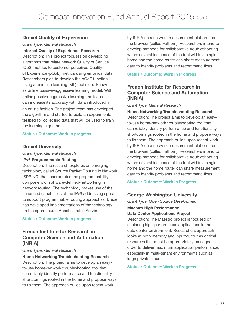# **Drexel Quality of Experience**

*Grant Type: General Research* 

#### **Internet Quality of Experience Research**

Description: This project focuses on developing algorithms that relate network Quality of Service (QoS) metrics to customer perceived Quality of Experience (pQoE) metrics using empirical data. Researchers plan to develop the pQoE function using a machine learning (ML) technique known as online passive-aggressive learning model. With online passive-aggressive learning, the learner can increase its accuracy with data introduced in an online fashion. The project team has developed the algorithm and started to build an experimental testbed for collecting data that will be used to train the learning algorithm.

#### **Status / Outcome: Work In progress**

## **Drexel University**

*Grant Type: General Research* 

#### **IPv6 Programmable Routing**

Description: The research explores an emerging technology called Source Packet Routing in Network (SPRING) that incorporates the programmability component of software-defined-networking in network routing. The technology makes use of the enhanced capabilities of the IPv6 addressing space to support programmable routing approaches. Drexel has developed implementations of the technology on the open-source Apache Traffic Server.

#### **Status / Outcome: Work In progress**

# **French Institute for Research in Computer Science and Automation (INRIA)**

#### *Grant Type: General Research*

**Home Networking Troubleshooting Research** Description: The project aims to develop an easyto-use home-network troubleshooting tool that can reliably identify performance and functionality shortcomings rooted in the home and propose ways to fix them. The approach builds upon recent work

by INRIA on a network measurement platform for the browser (called Fathom). Researchers intend to develop methods for collaborative troubleshooting where several instances of the tool within a single home and the home router can share measurement data to identify problems and recommend fixes.

#### **Status / Outcome: Work In Progress**

# **French Institute for Research in Computer Science and Automation (INRIA)**

#### *Grant Type: General Research*

**Home Networking Troubleshooting Research** Description: The project aims to develop an easyto-use home-network troubleshooting tool that can reliably identify performance and functionality shortcomings rooted in the home and propose ways to fix them. The approach builds upon recent work by INRIA on a network measurement platform for the browser (called Fathom). Researchers intend to develop methods for collaborative troubleshooting where several instances of the tool within a single home and the home router can share measurement data to identify problems and recommend fixes.

#### **Status / Outcome: Work In Progress**

# **George Washington University**

*Grant Type: Open Source Development*

#### **Maestro High Performance Data Center Applications Project**

Description: The Maestro project is focused on exploring high-performance applications in the data center environment. Researchers approach looks at both memory and input/output as critical resources that must be appropriately managed in order to deliver maximum application performance, especially in multi-tenant environments such as large private clouds.

#### **Status / Outcome: Work In Progress**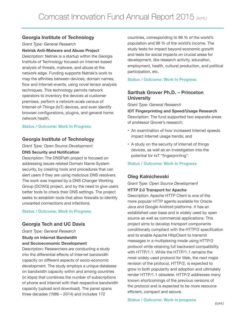# **Georgia Institute of Technology**

*Grant Type: General Research*

**Netrisk Anti-Malware and Abuse Project** Description: Netrisk is a startup within the Georgia Institute of Technology focused on Internet-based analysis of threats, malware, and abuse at the network edge. Funding supports Netrisk's work to map the affinities between devices, domain names, flow and Internet-events, using novel tensor analysis techniques. This technology permits network operators to inventory the devices at customer premises, perform a network-scale census of Internet-of-Things (IoT) devices, and even identify browser configurations, plugins, and general home network health.

#### **Status / Outcome: Work In Progress**

#### **Georgia Institute of Technology**

*Grant Type: Open Source Development*

#### **DNS Security and Notification**

Description: The DNSPath project is focused on addressing issues related Domain Name System security, by creating tools and procedures that can alert users if they are using malicious DNS resolvers. The work was inspired by a DNS Changer Working Group (DCWG) project, and by the need to give users better tools to check their DNS settings. The project seeks to establish tools that allow firewalls to identify unwanted connections and infections.

#### **Status / Outcome: Work In Progress**

## **Georgia Tech and UC Davis**

*Grant Type: General Research*

#### **Study on Internet Bandwidth and Socioeconomic Development**

Description: Researchers are conducting a study into the differential effects of Internet bandwidth capacity on different aspects of socio-economic development. The study employs a unique database on bandwidth capacity within and among countries (in kbps) that combines the number of subscriptions of phone and internet with their respective bandwidth capacity (upload and download). The panel spans three decades (1986 – 2014) and includes 172

countries, corresponding to 96 % of the world's population and 99 % of the world's income. The study tests for impact beyond economic growth and tests for social impacts on crucial areas for development, like research activity, education, employment, health, cultural production, and political participation, etc.

#### **Status / Outcome: Work In Progress**

# **Sarthak Grover Ph.D. – Princeton University**

*Grant Type: General Research*

**IOT Fingerprinting and Speed/Usage Research** Description: The fund supported two separate areas of professor Grover's research:

- An examination of how increased Internet speeds impact Internet usage trends; and
- A study on the security of Internet of things devices, as well as an investigation into the potential for IoT "fingerprinting".

#### **Status / Outcome: Work In Progress**

# **Oleg Kalnichevski**

*Grant Type: Open Source Development* 

#### **HTTP 2.0 Transport for Apache**

Description: Apache HTTP Client is one of the more popular HTTP agents available for Oracle Java and Google Android platforms. It has an established user base and is widely used by open source as well as commercial applications. This project aims to develop transport components conditionally compliant with the HTTP/2 specification and to enable Apache HttpClient to transmit messages in a multiplexing mode using HTTP/2 protocol while retaining full backward compatibility with HTTP/1.1. While the HTTP/1.1 remains the most widely used protocol for Web, the next major revision of the protocol, HTTP/2, is expected to grow in both popularity and adoption and ultimately render HTTP/1.1 obsolete. HTTP/2 addresses many known shortcomings of the previous versions of the protocol and is expected to be more resource efficient, compact and secure.

#### **Status / Outcome: Work in progress**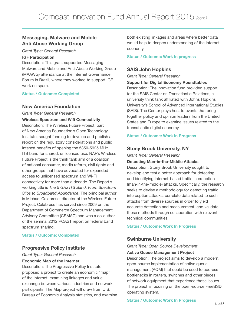# **Messaging, Malware and Mobile Anti Abuse Working Group**

*Grant Type: General Research*

#### **IGF Participation**

Description: This grant supported Messaging Malware and Mobile and Anti-Abuse Working Group (MAAWG) attendance at the Internet Governance Forum in Brazil, where they worked to support IGF work on spam.

#### **Status / Outcome: Completed**

#### **New America Foundation**

*Grant Type: General Research*

**Wireless Spectrum and Wifi Connectivity** Description: The Wireless Future Project, part of New America Foundation's Open Technology Institute, sought funding to develop and publish a report on the regulatory considerations and public interest benefits of opening the 5850-5925 MHz ITS band for shared, unlicensed use. NAF's Wireless Future Project is the think tank arm of a coalition of national consumer, media reform, civil rights and other groups that have advocated for expanded access to unlicensed spectrum and Wi-Fi connectivity for more than a decade. The Report's working title is *The 5 GHz ITS Band: From Spectrum Silos to Broadband Abundance*. The principal author is Michael Calabrese, director of the Wireless Future Project. Calabrese has served since 2009 on the Department of Commerce Spectrum Management Advisory Committee (CSMAC) and was a co-author of the seminal 2012 PCAST report on federal band spectrum sharing.

#### **Status / Outcome: Completed**

## **Progressive Policy Institute**

*Grant Type: General Research*

#### **Economic Map of the Internet**

Description: The Progressive Policy Institute proposed a project to create an economic "map" of the Internet, examining linkages and value exchange between various industries and network participants. The Map project will draw from U.S. Bureau of Economic Analysis statistics, and examine both existing linkages and areas where better data would help to deepen understanding of the Internet economy.

#### **Status / Outcome: Work In progress**

# **SAIS John Hopkins**

*Grant Type: General Research* 

#### **Support for Digital Economy Roundtables**

Description: The innovation fund provided support for the SAIS Center on Transatlantic Relations, a university think tank affiliated with Johns Hopkins University's School of Advanced International Studies (SAIS). The Center plays host to events that bring together policy and opinion leaders from the United States and Europe to examine issues related to the transatlantic digital economy.

#### **Status / Outcome: Work In Progress**

## **Stony Brook University, NY**

*Grant Type: General Research* 

#### **Detecting Man-in-the-Middle Attacks**

Description: Stony Brook University sought to develop and test a better approach for detecting and identifying Internet-based traffic interception (man-in-the-middle) attacks. Specifically, the research seeks to devise a methodology for detecting traffic interception attacks, correlate data related to such attacks from diverse sources in order to yield accurate detection and measurement, and validate those methods through collaboration with relevant technical communities.

#### **Status / Outcome: Work In Progress**

#### **Swinburne University**

*Grant Type: Open Source Development*

#### **Active Queue Management Project**

Description: The project aims to develop a modern, open-source implementation of active queue management (AQM) that could be used to address bottlenecks in routers, switches and other pieces of network equipment that experience those issues. The project is focusing on the open-source FreeBSD operating system.

# **Status / Outcome: Work In Progress** *(cont.)*